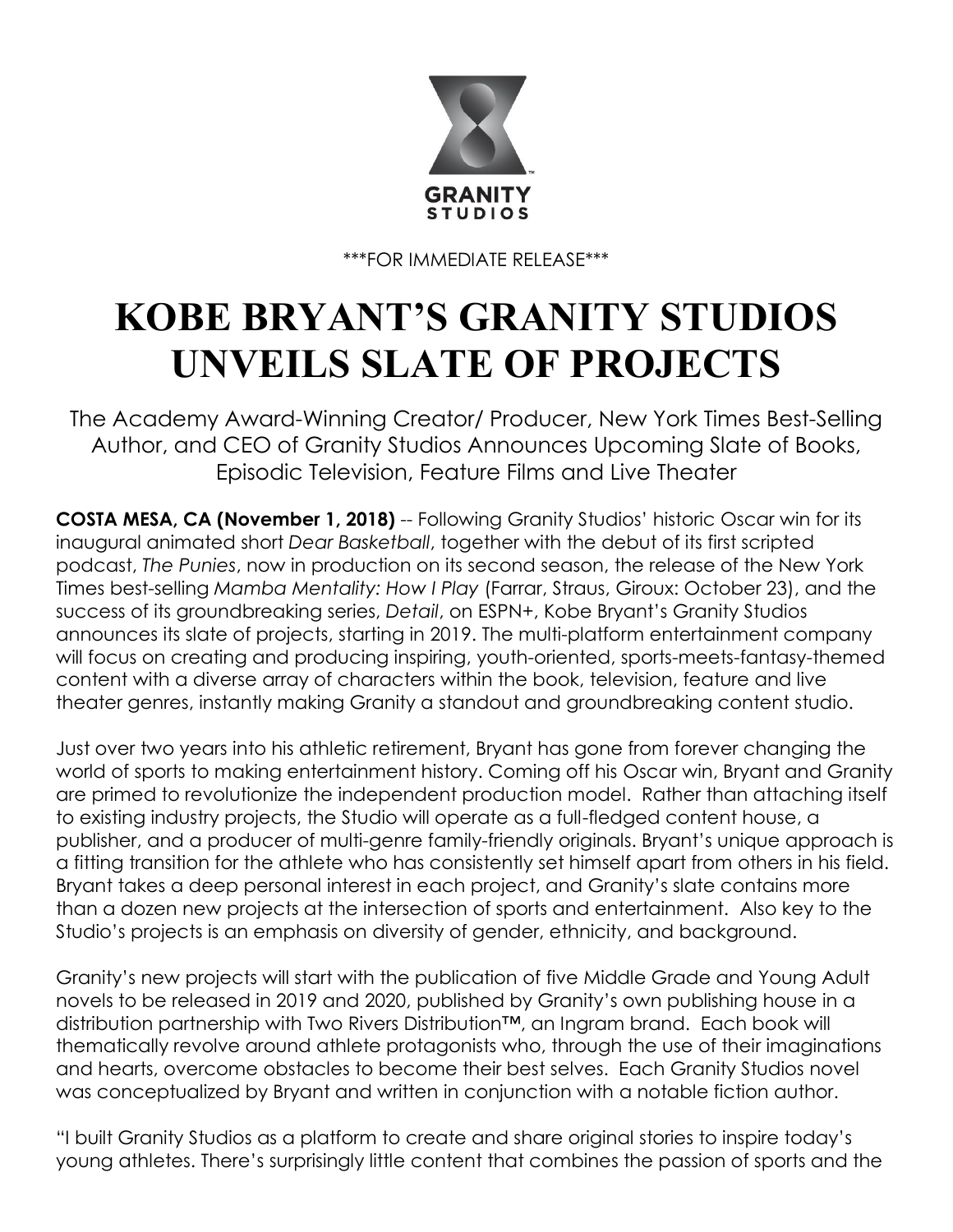

\*\*\*FOR IMMEDIATE RELEASE\*\*\*

## **KOBE BRYANT'S GRANITY STUDIOS UNVEILS SLATE OF PROJECTS**

The Academy Award-Winning Creator/ Producer, New York Times Best-Selling Author, and CEO of Granity Studios Announces Upcoming Slate of Books, Episodic Television, Feature Films and Live Theater

**COSTA MESA, CA (November 1, 2018)** -- Following Granity Studios' historic Oscar win for its inaugural animated short *Dear Basketball*, together with the debut of its first scripted podcast, *The Punies*, now in production on its second season, the release of the New York Times best-selling *Mamba Mentality: How I Play* (Farrar, Straus, Giroux: October 23), and the success of its groundbreaking series, *Detail*, on ESPN+, Kobe Bryant's Granity Studios announces its slate of projects, starting in 2019. The multi-platform entertainment company will focus on creating and producing inspiring, youth-oriented, sports-meets-fantasy-themed content with a diverse array of characters within the book, television, feature and live theater genres, instantly making Granity a standout and groundbreaking content studio.

Just over two years into his athletic retirement, Bryant has gone from forever changing the world of sports to making entertainment history. Coming off his Oscar win, Bryant and Granity are primed to revolutionize the independent production model. Rather than attaching itself to existing industry projects, the Studio will operate as a full-fledged content house, a publisher, and a producer of multi-genre family-friendly originals. Bryant's unique approach is a fitting transition for the athlete who has consistently set himself apart from others in his field. Bryant takes a deep personal interest in each project, and Granity's slate contains more than a dozen new projects at the intersection of sports and entertainment. Also key to the Studio's projects is an emphasis on diversity of gender, ethnicity, and background.

Granity's new projects will start with the publication of five Middle Grade and Young Adult novels to be released in 2019 and 2020, published by Granity's own publishing house in a distribution partnership with Two Rivers Distribution<sup>™</sup>, an Ingram brand. Each book will thematically revolve around athlete protagonists who, through the use of their imaginations and hearts, overcome obstacles to become their best selves. Each Granity Studios novel was conceptualized by Bryant and written in conjunction with a notable fiction author.

"I built Granity Studios as a platform to create and share original stories to inspire today's young athletes. There's surprisingly little content that combines the passion of sports and the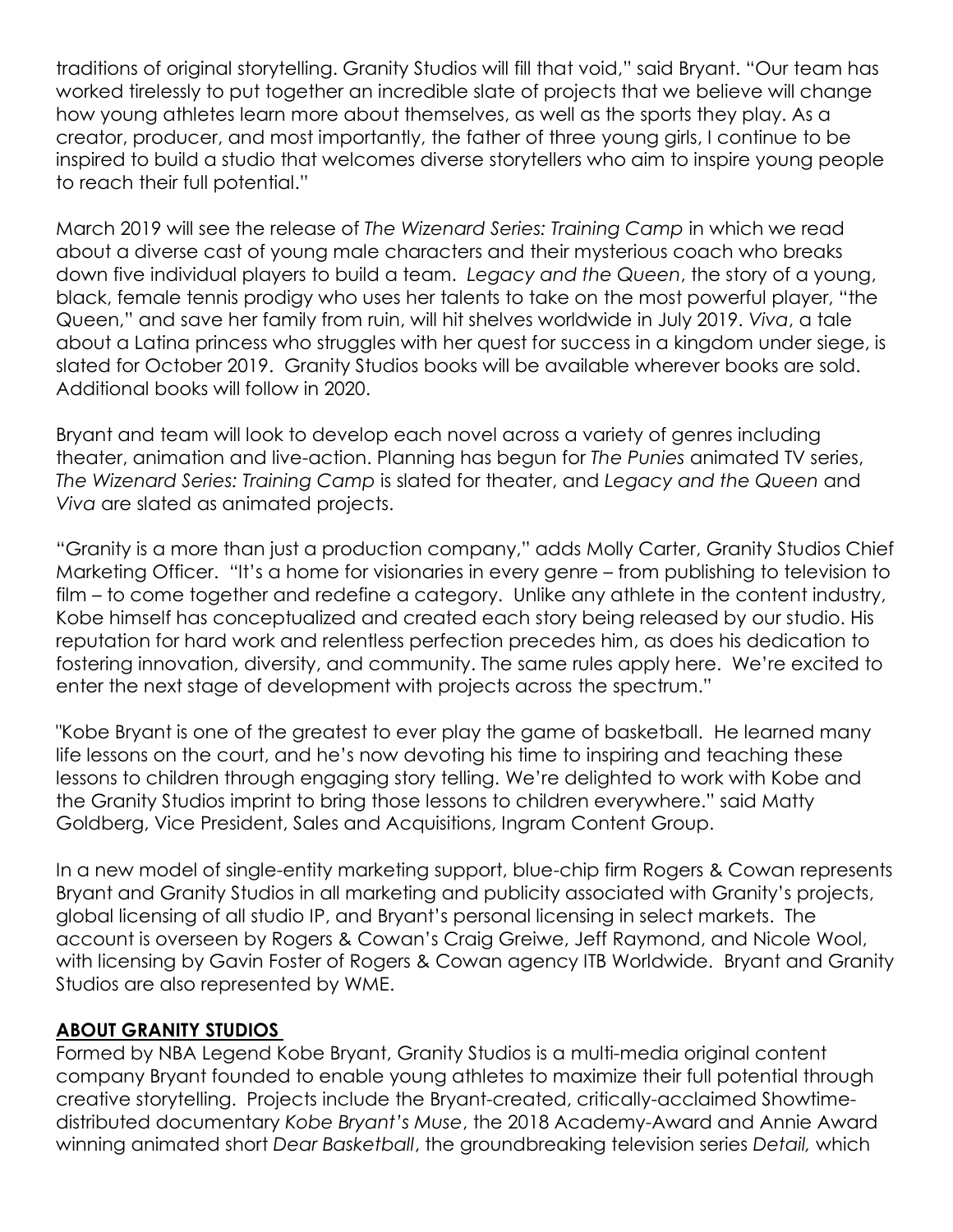traditions of original storytelling. Granity Studios will fill that void," said Bryant. "Our team has worked tirelessly to put together an incredible slate of projects that we believe will change how young athletes learn more about themselves, as well as the sports they play. As a creator, producer, and most importantly, the father of three young girls, I continue to be inspired to build a studio that welcomes diverse storytellers who aim to inspire young people to reach their full potential."

March 2019 will see the release of *The Wizenard Series: Training Camp* in which we read about a diverse cast of young male characters and their mysterious coach who breaks down five individual players to build a team. *Legacy and the Queen*, the story of a young, black, female tennis prodigy who uses her talents to take on the most powerful player, "the Queen," and save her family from ruin, will hit shelves worldwide in July 2019. *Viva*, a tale about a Latina princess who struggles with her quest for success in a kingdom under siege, is slated for October 2019. Granity Studios books will be available wherever books are sold. Additional books will follow in 2020.

Bryant and team will look to develop each novel across a variety of genres including theater, animation and live-action. Planning has begun for *The Punies* animated TV series, *The Wizenard Series: Training Camp* is slated for theater, and *Legacy and the Queen* and *Viva* are slated as animated projects.

"Granity is a more than just a production company," adds Molly Carter, Granity Studios Chief Marketing Officer. "It's a home for visionaries in every genre – from publishing to television to film – to come together and redefine a category. Unlike any athlete in the content industry, Kobe himself has conceptualized and created each story being released by our studio. His reputation for hard work and relentless perfection precedes him, as does his dedication to fostering innovation, diversity, and community. The same rules apply here. We're excited to enter the next stage of development with projects across the spectrum."

"Kobe Bryant is one of the greatest to ever play the game of basketball. He learned many life lessons on the court, and he's now devoting his time to inspiring and teaching these lessons to children through engaging story telling. We're delighted to work with Kobe and the Granity Studios imprint to bring those lessons to children everywhere." said Matty Goldberg, Vice President, Sales and Acquisitions, Ingram Content Group.

In a new model of single-entity marketing support, blue-chip firm Rogers & Cowan represents Bryant and Granity Studios in all marketing and publicity associated with Granity's projects, global licensing of all studio IP, and Bryant's personal licensing in select markets. The account is overseen by Rogers & Cowan's Craig Greiwe, Jeff Raymond, and Nicole Wool, with licensing by Gavin Foster of Rogers & Cowan agency ITB Worldwide. Bryant and Granity Studios are also represented by WME.

## **ABOUT GRANITY STUDIOS**

Formed by NBA Legend Kobe Bryant, Granity Studios is a multi-media original content company Bryant founded to enable young athletes to maximize their full potential through creative storytelling. Projects include the Bryant-created, critically-acclaimed Showtimedistributed documentary *Kobe Bryant's Muse*, the 2018 Academy-Award and Annie Award winning animated short *Dear Basketball*, the groundbreaking television series *Detail,* which